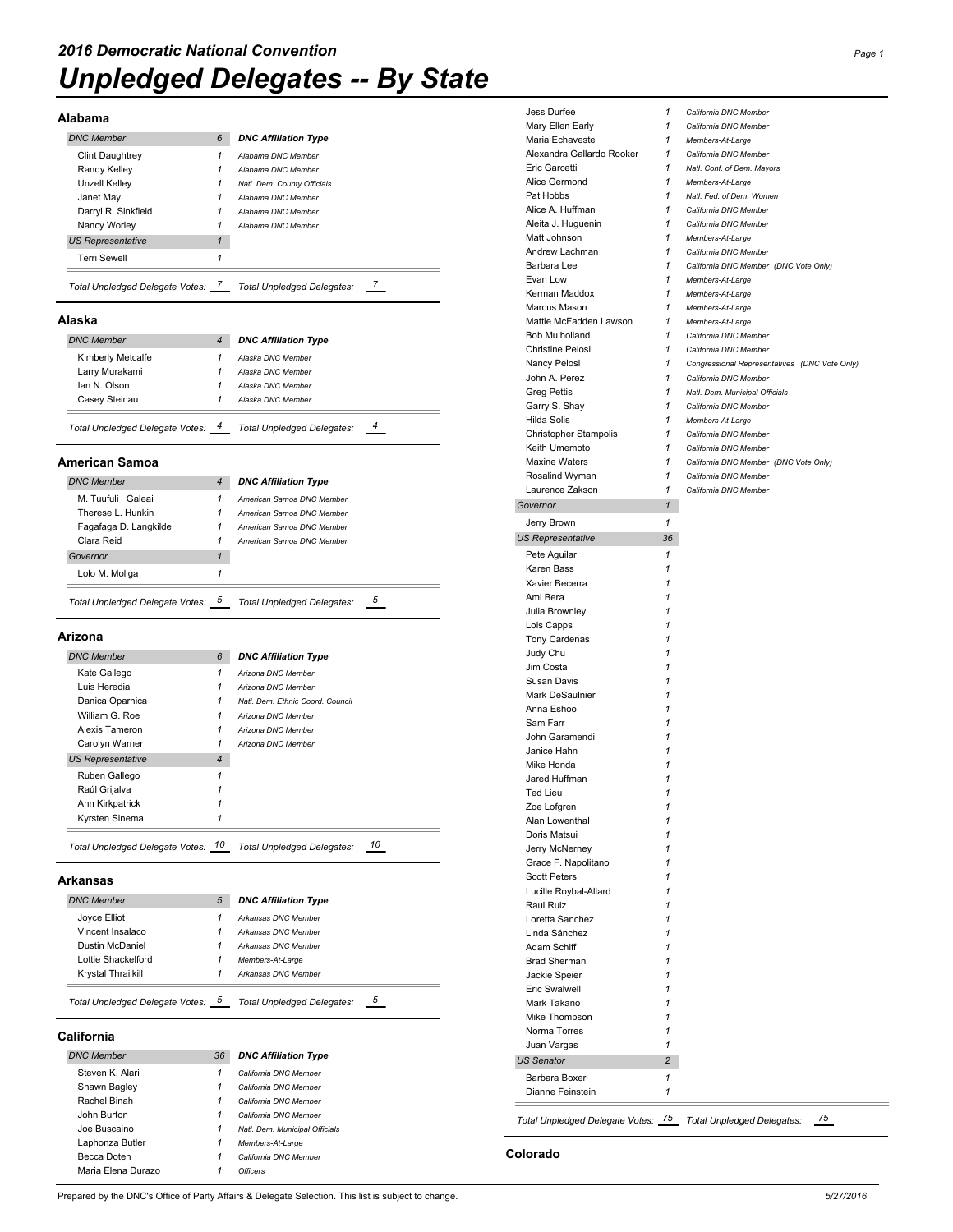#### **Alabama**

| <b>DNC Member</b>               | 6 | <b>DNC Affiliation Type</b>       |
|---------------------------------|---|-----------------------------------|
| Clint Daughtrey                 | 1 | Alabama DNC Member                |
| Randy Kelley                    | 1 | Alabama DNC Member                |
| <b>Unzell Kelley</b>            | 1 | Natl. Dem. County Officials       |
| Janet Mav                       | 1 | Alabama DNC Member                |
| Darryl R. Sinkfield             | 1 | Alabama DNC Member                |
| Nancy Worley                    |   | Alabama DNC Member                |
| <b>US Representative</b>        | 1 |                                   |
| <b>Terri Sewell</b>             | 1 |                                   |
| Total Unpledged Delegate Votes: |   | <b>Total Unpledged Delegates:</b> |

#### **Alaska**

| <b>DNC Member</b>               | $\overline{4}$ | <b>DNC Affiliation Type</b>       |  |
|---------------------------------|----------------|-----------------------------------|--|
| Kimberly Metcalfe               | 1              | Alaska DNC Member                 |  |
| Larry Murakami                  | 1              | Alaska DNC Member                 |  |
| lan N. Olson                    | 1              | Alaska DNC Member                 |  |
| Casev Steinau                   | 1              | Alaska DNC Member                 |  |
| Total Unpledged Delegate Votes: |                | <b>Total Unpledged Delegates:</b> |  |

#### **American Samoa**

| <b>DNC Member</b>                 | 4 | <b>DNC Affiliation Type</b>       |
|-----------------------------------|---|-----------------------------------|
| M. Tuufuli Galeai                 |   | American Samoa DNC Member         |
| Therese L. Hunkin                 |   | American Samoa DNC Member         |
| Fagafaga D. Langkilde             |   | American Samoa DNC Member         |
| Clara Reid                        |   | American Samoa DNC Member         |
| Governor                          | 1 |                                   |
| Lolo M. Moliga                    |   |                                   |
| Total Unpledged Delegate Votes: 5 |   | <b>Total Unpledged Delegates:</b> |

#### **Arizona**

| <b>DNC Member</b>        | 6              | <b>DNC Affiliation Type</b>      |
|--------------------------|----------------|----------------------------------|
| Kate Gallego             | 1              | Arizona DNC Member               |
| Luis Heredia             | 1              | Arizona DNC Member               |
| Danica Oparnica          |                | Natl. Dem. Ethnic Coord. Council |
| William G. Roe           | 1              | Arizona DNC Member               |
| Alexis Tameron           |                | Arizona DNC Member               |
| Carolyn Warner           |                | Arizona DNC Member               |
| <b>US Representative</b> | $\overline{4}$ |                                  |
| Ruben Gallego            |                |                                  |
| Raúl Grijalva            |                |                                  |
| Ann Kirkpatrick          |                |                                  |
| Kyrsten Sinema           | 1              |                                  |

### **Arkansas**

| Total Unpledged Delegate Votes: |  | 5<br><b>Total Unpledged Delegates:</b> |  |  |
|---------------------------------|--|----------------------------------------|--|--|
| Krystal Thrailkill              |  | Arkansas DNC Member                    |  |  |
| Lottie Shackelford              |  | Members-At-Large                       |  |  |
| Dustin McDaniel                 |  | Arkansas DNC Member                    |  |  |
| Vincent Insalaco                |  | Arkansas DNC Member                    |  |  |
| Joyce Elliot                    |  | Arkansas DNC Member                    |  |  |
| <b>DNC Member</b>               |  | <b>DNC Affiliation Type</b>            |  |  |

#### **California**

| <b>DNC Member</b>  | 36 | <b>DNC Affiliation Type</b>    |
|--------------------|----|--------------------------------|
| Steven K. Alari    | 1  | California DNC Member          |
| Shawn Bagley       | 1  | California DNC Member          |
| Rachel Binah       | 1  | California DNC Member          |
| John Burton        | 1  | California DNC Member          |
| Joe Buscaino       | 1  | Natl. Dem. Municipal Officials |
| Laphonza Butler    | 1  | Members-At-Large               |
| Becca Doten        | 1  | California DNC Member          |
| Maria Elena Durazo |    | Officers                       |

Jess Durfee *1 California DNC Member* Mary Ellen Early *1 California DNC Member* Maria Echaveste *1 Members-At-Large* Alexandra Gallardo Rooker *1 California DNC Member* Eric Garcetti *1 Natl. Conf. of Dem. Mayors* Alice Germond *1 Members-At-Large* Pat Hobbs *1 Natl. Fed. of Dem. Women* Alice A. Huffman *1 California DNC Member* Aleita J. Huguenin *1 California DNC Member* Matt Johnson *1 Members-At-Large* Andrew Lachman *1 California DNC Member* Barbara Lee *1 California DNC Member (DNC Vote Only)* Evan Low *1 Members-At-Large* Kerman Maddox *1 Members-At-Large* Marcus Mason *1 Members-At-Large* Mattie McFadden Lawson *1 Members-At-Large* Bob Mulholland *1 California DNC Member* Christine Pelosi *1 California DNC Member* Nancy Pelosi *1 Congressional Representatives (DNC Vote Only)* John A. Perez *1 California DNC Member* Greg Pettis *1 Natl. Dem. Municipal Officials* Garry S. Shay *1 California DNC Member* Hilda Solis *1 Members-At-Large* Christopher Stampolis *1 California DNC Member* Keith Umemoto *1 California DNC Member* Maxine Waters *1 California DNC Member (DNC Vote Only)* Rosalind Wyman *1 California DNC Member* Laurence Zakson *1 California DNC Member Governor 1* Jerry Brown *1 US Representative 36* Pete Aguilar **1** Karen Bass *1* Xavier Becerra *1* Ami Bera *1* Julia Brownley *1* Lois Capps *1* Tony Cardenas *1* Judy Chu *1* Jim Costa *1* Susan Davis *1* Mark DeSaulnier *1* Anna Eshoo *1* Sam Farr John Garamendi *1* Janice Hahn *1* Mike Honda *1* Jared Huffman *1* Ted Lieu *1* Zoe Lofgren *1* Alan Lowenthal *1* Doris Matsui *1* Jerry McNerney *1* Grace F. Napolitano **Scott Peters** Lucille Roybal-Allard Raul Ruiz *1* Loretta Sanchez Linda Sánchez *1* Adam Schiff *1* Brad Sherman *1* Jackie Speier *1* Eric Swalwell Mark Takano *1* Mike Thompson *1* Norma Torres *1* Juan Vargas *1 US Senator 2* Barbara Boxer *1* Dianne Feinstein *1*

*Total Unpledged Delegate Votes: 75 Total Unpledged Delegates: 75*

#### **Colorado**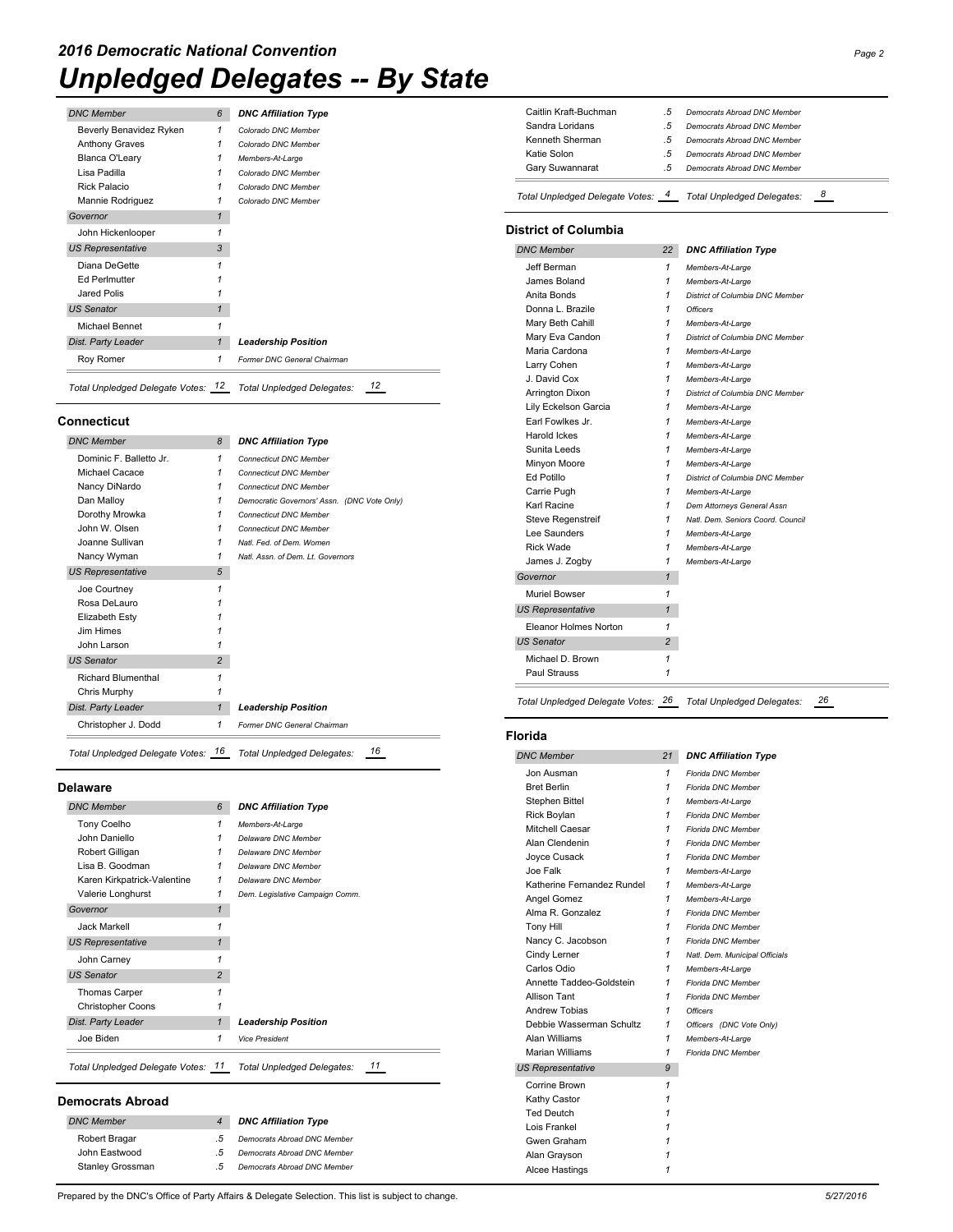## *Unpledged Delegates -- By State 2016 Democratic National Convention Page 2*

| <b>DNC Member</b>        | 6            | <b>DNC Affiliation Type</b> |
|--------------------------|--------------|-----------------------------|
| Beverly Benavidez Ryken  | 1            | Colorado DNC Member         |
| <b>Anthony Graves</b>    | 1            | Colorado DNC Member         |
| Blanca O'Leary           | 1            | Members-At-Large            |
| Lisa Padilla             | 1            | Colorado DNC Member         |
| Rick Palacio             | 1            | Colorado DNC Member         |
| Mannie Rodriguez         | 1            | Colorado DNC Member         |
| Governor                 | $\mathbf{1}$ |                             |
| John Hickenlooper        | 1            |                             |
| <b>US Representative</b> | 3            |                             |
| Diana DeGette            | 1            |                             |
| <b>Ed Perlmutter</b>     |              |                             |
| Jared Polis              |              |                             |
| <b>US Senator</b>        | 1            |                             |
| Michael Bennet           | 1            |                             |
| Dist. Party Leader       | $\mathbf{1}$ | <b>Leadership Position</b>  |
| Roy Romer                | 1            | Former DNC General Chairman |

## **Connecticut**

| <b>DNC Member</b>         | 8              | <b>DNC Affiliation Type</b>                 |
|---------------------------|----------------|---------------------------------------------|
| Dominic F. Balletto Jr.   | 1              | <b>Connecticut DNC Member</b>               |
| Michael Cacace            | 1              | <b>Connecticut DNC Member</b>               |
| Nancy DiNardo             | 1              | <b>Connecticut DNC Member</b>               |
| Dan Malloy                | 1              | Democratic Governors' Assn. (DNC Vote Only) |
| Dorothy Mrowka            | 1              | <b>Connecticut DNC Member</b>               |
| John W Olsen              | 1              | <b>Connecticut DNC Member</b>               |
| Joanne Sullivan           | 1              | Natl. Fed. of Dem. Women                    |
| Nancy Wyman               | 1              | Natl. Assn. of Dem. Lt. Governors           |
| <b>US Representative</b>  | 5              |                                             |
| Joe Courtney              | 1              |                                             |
| Rosa DeLauro              | 1              |                                             |
| Elizabeth Estv            | 1              |                                             |
| Jim Himes                 |                |                                             |
| John Larson               | 1              |                                             |
| <b>US Senator</b>         | $\overline{c}$ |                                             |
| <b>Richard Blumenthal</b> | 1              |                                             |
| Chris Murphy              | 1              |                                             |
| Dist. Party Leader        | $\mathbf{1}$   | <b>Leadership Position</b>                  |
| Christopher J. Dodd       | 1              | Former DNC General Chairman                 |

### **Delaware**

| <b>DNC Member</b>                  | 6              | <b>DNC Affiliation Type</b>      |
|------------------------------------|----------------|----------------------------------|
| Tony Coelho                        | 1              | Members-At-Large                 |
| John Daniello                      | 1              | Delaware DNC Member              |
| Robert Gilligan                    | 1              | Delaware DNC Member              |
| Lisa B. Goodman                    | 1              | Delaware DNC Member              |
| Karen Kirkpatrick-Valentine        | 1              | Delaware DNC Member              |
| Valerie Longhurst                  | 1              | Dem. Legislative Campaign Comm.  |
| Governor                           | $\mathbf{1}$   |                                  |
| Jack Markell                       | 1              |                                  |
| <b>US Representative</b>           | 1              |                                  |
| John Carney                        | 1              |                                  |
| <b>US Senator</b>                  | $\overline{2}$ |                                  |
| <b>Thomas Carper</b>               | 1              |                                  |
| <b>Christopher Coons</b>           |                |                                  |
| Dist. Party Leader                 | $\mathbf{1}$   | <b>Leadership Position</b>       |
| Joe Biden                          | 1              | <b>Vice President</b>            |
| Total Unpledged Delegate Votes: 11 |                | 11<br>Total Unpledged Delegates: |

### **Democrats Abroad**

|            | <b>DNC Affiliation Type</b> |
|------------|-----------------------------|
| -5         | Democrats Abroad DNC Member |
| $\sqrt{2}$ | Democrats Abroad DNC Member |
| .5         | Democrats Abroad DNC Member |
|            |                             |

| Caitlin Kraft-Buchman              | .5             | Democrats Abroad DNC Member            |
|------------------------------------|----------------|----------------------------------------|
| Sandra Loridans                    | .5             | Democrats Abroad DNC Member            |
| Kenneth Sherman                    | .5             | <b>Democrats Abroad DNC Member</b>     |
| Katie Solon                        | .5             | Democrats Abroad DNC Member            |
| Gary Suwannarat                    | .5             | Democrats Abroad DNC Member            |
| Total Unpledged Delegate Votes:    | 4              | 8<br>Total Unpledged Delegates:        |
| <b>District of Columbia</b>        |                |                                        |
| <b>DNC Member</b>                  | 22             | <b>DNC Affiliation Type</b>            |
| Jeff Berman                        | 1              | Members-At-Large                       |
| James Boland                       | 1              | Members-At-Large                       |
| Anita Bonds                        | 1              | District of Columbia DNC Member        |
| Donna L. Brazile                   | 1              | <b>Officers</b>                        |
| Mary Beth Cahill                   | 1              | Members-At-Large                       |
| Mary Eva Candon                    | 1              | District of Columbia DNC Member        |
| Maria Cardona                      | 1              | Members-At-Large                       |
| Larry Cohen                        | 1              | Members-At-Large                       |
| J. David Cox                       | 1              | Members-At-Large                       |
| Arrington Dixon                    | 1              | District of Columbia DNC Member        |
| Lily Eckelson Garcia               | 1              | Members-At-Large                       |
| Earl Fowlkes Jr.<br>Harold Ickes   | 1<br>1         | Members-At-Large                       |
| Sunita Leeds                       | 1              | Members-At-Large                       |
| Minyon Moore                       | 1              | Members-At-Large<br>Members-At-Large   |
| <b>Ed Potillo</b>                  | 1              | District of Columbia DNC Member        |
| Carrie Pugh                        | 1              | Members-At-Large                       |
| Karl Racine                        | 1              | Dem Attorneys General Assn             |
| Steve Regenstreif                  | 1              | Natl. Dem. Seniors Coord. Council      |
| Lee Saunders                       | 1              | Members-At-Large                       |
| <b>Rick Wade</b>                   | 1              | Members-At-Large                       |
| James J. Zogby                     | 1              | Members-At-Large                       |
| Governor                           | 1              |                                        |
| Muriel Bowser                      | 1              |                                        |
| <b>US Representative</b>           | 1              |                                        |
|                                    |                |                                        |
| Eleanor Holmes Norton              | 1              |                                        |
|                                    |                |                                        |
| <b>US Senator</b>                  | $\overline{2}$ |                                        |
| Michael D. Brown                   | 1              |                                        |
| Paul Strauss                       | 1              |                                        |
| Total Unpledged Delegate Votes: 26 |                | 26<br>Total Unpledged Delegates:       |
| Florida                            |                |                                        |
| <b>DNC Member</b>                  | 21             | <b>DNC Affiliation Type</b>            |
| Jon Ausman                         | 1              | Florida DNC Member                     |
| <b>Bret Berlin</b>                 | 1              | Florida DNC Member                     |
| Stephen Bittel                     | 1              | Members-At-Large                       |
| <b>Rick Boylan</b>                 | 1              | Florida DNC Member                     |
| Mitchell Caesar                    | 1              | Florida DNC Member                     |
| Alan Clendenin                     | 1              | Florida DNC Member                     |
| Joyce Cusack                       | 1              | Florida DNC Member                     |
| Joe Falk                           | 1              | Members-At-Large                       |
| Katherine Fernandez Rundel         | 1              | Members-At-Large                       |
| Angel Gomez                        | 1              | Members-At-Large                       |
| Alma R. Gonzalez                   | 1              | Florida DNC Member                     |
| <b>Tony Hill</b>                   | 1              | Florida DNC Member                     |
| Nancy C. Jacobson                  | 1              | Florida DNC Member                     |
| Cindy Lerner                       | 1              | Natl. Dem. Municipal Officials         |
| Carlos Odio                        | 1              | Members-At-Large                       |
| Annette Taddeo-Goldstein           | 1              | Florida DNC Member                     |
| <b>Allison Tant</b>                | 1<br>1         | Florida DNC Member                     |
| Andrew Tobias                      |                | <b>Officers</b>                        |
| Debbie Wasserman Schultz           | 1              | Officers (DNC Vote Only)               |
| Alan Williams<br>Marian Williams   | 1<br>1         | Members-At-Large<br>Florida DNC Member |
|                                    | 9              |                                        |
| <b>US Representative</b>           |                |                                        |
| Corrine Brown                      | 1              |                                        |
| Kathy Castor                       | 1              |                                        |
| <b>Ted Deutch</b>                  | 1<br>1         |                                        |
| Lois Frankel<br>Gwen Graham        | 1              |                                        |

Alan Grayson *1*

Alcee Hastings *1*

Prepared by the DNC's Office of Party Affairs & Delegate Selection. This list is subject to change. *5/27/2016*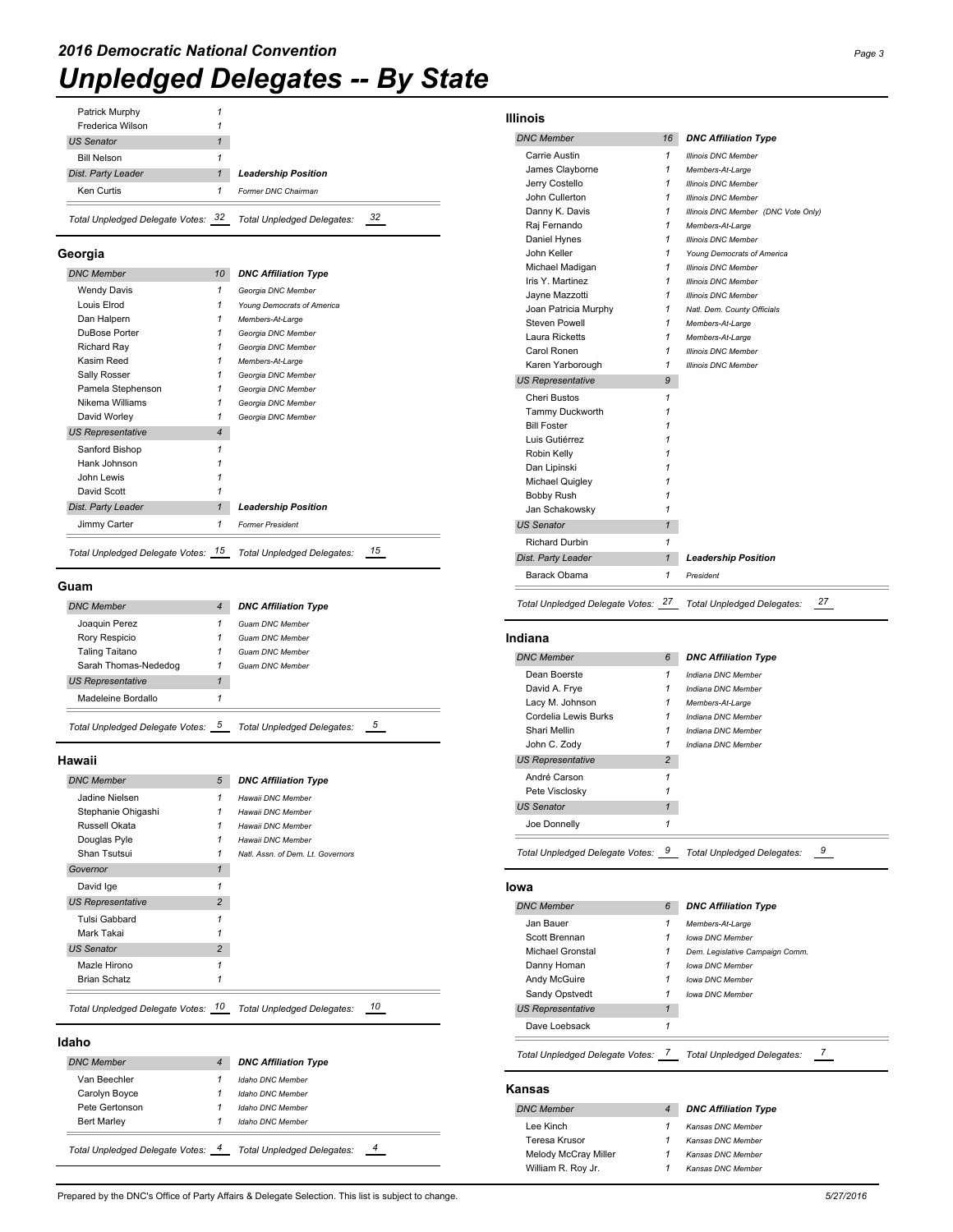| Patrick Murphy |  |
|----------------|--|
|                |  |

| Total Unpledged Delegate Votes: 32 | 32<br><b>Total Unpledged Delegates:</b> |
|------------------------------------|-----------------------------------------|
| Ken Curtis                         | Former DNC Chairman                     |
| Dist. Party Leader                 | <b>Leadership Position</b>              |
| <b>Bill Nelson</b>                 |                                         |
| <b>US Senator</b>                  |                                         |
| Frederica Wilson                   |                                         |
|                                    |                                         |

#### **Georgia**

| <b>DNC Member</b>        | 10             | <b>DNC Affiliation Type</b> |
|--------------------------|----------------|-----------------------------|
| <b>Wendy Davis</b>       | 1              | Georgia DNC Member          |
| Louis Elrod              | 1              | Young Democrats of America  |
| Dan Halpern              | 1              | Members-At-Large            |
| DuBose Porter            | 1              | Georgia DNC Member          |
| Richard Ray              | 1              | Georgia DNC Member          |
| Kasim Reed               | 1              | Members-At-Large            |
| Sally Rosser             | 1              | Georgia DNC Member          |
| Pamela Stephenson        | 1              | Georgia DNC Member          |
| Nikema Williams          | 1              | Georgia DNC Member          |
| David Worley             | 1              | Georgia DNC Member          |
| <b>US Representative</b> | $\overline{4}$ |                             |
| Sanford Bishop           | 1              |                             |
| Hank Johnson             |                |                             |
| John Lewis               |                |                             |
| David Scott              |                |                             |
| Dist. Party Leader       | 1              | <b>Leadership Position</b>  |
| Jimmy Carter             | 1              | <b>Former President</b>     |

#### **Guam**

| <b>DNC Member</b>               | 4 | <b>DNC Affiliation Type</b>     |
|---------------------------------|---|---------------------------------|
| Joaquin Perez                   |   | <b>Guam DNC Member</b>          |
| Rory Respicio                   |   | <b>Guam DNC Member</b>          |
| Taling Taitano                  |   | <b>Guam DNC Member</b>          |
| Sarah Thomas-Nededog            |   | <b>Guam DNC Member</b>          |
| <b>US Representative</b>        |   |                                 |
| Madeleine Bordallo              |   |                                 |
| Total Unpledged Delegate Votes: |   | 5<br>Total Unpledged Delegates: |

### **Hawaii**

| <b>DNC Member</b>        | 5              | <b>DNC Affiliation Type</b>       |
|--------------------------|----------------|-----------------------------------|
| Jadine Nielsen           | 1              | Hawaii DNC Member                 |
| Stephanie Ohigashi       | 1              | Hawaii DNC Member                 |
| Russell Okata            | 1              | Hawaii DNC Member                 |
| Douglas Pyle             |                | Hawaii DNC Member                 |
| Shan Tsutsui             |                | Natl. Assn. of Dem. Lt. Governors |
| Governor                 | 1              |                                   |
| David Ige                | 1              |                                   |
| <b>US Representative</b> | $\overline{2}$ |                                   |
| Tulsi Gabbard            |                |                                   |
| Mark Takai               |                |                                   |
| <b>US Senator</b>        | $\overline{2}$ |                                   |
| Mazle Hirono             |                |                                   |
| <b>Brian Schatz</b>      | 1              |                                   |

#### **Idaho**

| <b>DNC Member</b>               |   | <b>DNC Affiliation Type</b> |   |
|---------------------------------|---|-----------------------------|---|
| Van Beechler                    |   | Idaho DNC Member            |   |
| Carolyn Boyce                   |   | Idaho DNC Member            |   |
| Pete Gertonson                  |   | Idaho DNC Member            |   |
| <b>Bert Marlev</b>              |   | Idaho DNC Member            |   |
| Total Unpledged Delegate Votes: | 4 | Total Unpledged Delegates:  | 4 |

## **Illinois**

#### *DNC Member 16 DNC Affiliation Type* Carrie Austin *1 Illinois DNC Member* James Clayborne *1 Members-At-Large* Jerry Costello *1 Illinois DNC Member* John Cullerton *1 Illinois DNC Member* Danny K. Davis *1 Illinois DNC Member (DNC Vote Only)* Raj Fernando *1 Members-At-Large* Daniel Hynes *1 Illinois DNC Member* John Keller *1 Young Democrats of America* Michael Madigan *1 Illinois DNC Member* Iris Y. Martinez *1 Illinois DNC Member* Jayne Mazzotti *1 Illinois DNC Member* Joan Patricia Murphy *1 Natl. Dem. County Officials* Steven Powell *1 Members-At-Large* Laura Ricketts *1 Members-At-Large* Carol Ronen *1 Illinois DNC Member* Karen Yarborough *1 Illinois DNC Member US Representative 9* Cheri Bustos *1* Tammy Duckworth *1* Bill Foster *1* Luis Gutiérrez *1* Robin Kelly *1*

Dan Lipinski *1* Michael Quigley *1* Bobby Rush *1* Jan Schakowsky *1 US Senator 1* Richard Durbin *1*

*Dist. Party Leader 1 Leadership Position* Barack Obama *1 President*

*Total Unpledged Delegate Votes: 27 Total Unpledged Delegates: 27*

| Indiana                           |                |                                 |
|-----------------------------------|----------------|---------------------------------|
| <b>DNC Member</b>                 | 6              | <b>DNC Affiliation Type</b>     |
| Dean Boerste                      | 1              | Indiana DNC Member              |
| David A. Frye                     | 1              | Indiana DNC Member              |
| Lacy M. Johnson                   | 1              | Members-At-Large                |
| Cordelia Lewis Burks              | 1              | Indiana DNC Member              |
| Shari Mellin                      | 1              | Indiana DNC Member              |
| John C. Zody                      | 1              | Indiana DNC Member              |
| <b>US Representative</b>          | $\overline{2}$ |                                 |
| André Carson                      | 1              |                                 |
| Pete Visclosky                    | 1              |                                 |
| <b>US Senator</b>                 | $\mathbf{1}$   |                                 |
| Joe Donnelly                      | 1              |                                 |
| Total Unpledged Delegate Votes: 9 |                | 9<br>Total Unpledged Delegates: |
| lowa                              |                |                                 |
| <b>DNC Member</b>                 | 6              | <b>DNC Affiliation Type</b>     |
| Jan Bauer                         | 1              | Members-At-Large                |
| Scott Brennan                     | 1              | lowa DNC Member                 |
| Michael Gronstal                  | 1              | Dem. Legislative Campaign Comm. |
| Danny Homan                       | 1              | lowa DNC Member                 |

| Andy McGuire            | <b>Iowa DNC Member</b> |
|-------------------------|------------------------|
| Sandy Opstvedt          | lowa DNC Member        |
| <b>S Representative</b> |                        |
| Dave Loebsack           |                        |

*Total Unpledged Delegate Votes: 7 Total Unpledged Delegates: 7*

#### **Kansas**

*<i>US Repres* 

| <b>DNC Member</b>    | <b>DNC Affiliation Type</b> |
|----------------------|-----------------------------|
| Lee Kinch            | Kansas DNC Member           |
| Teresa Krusor        | Kansas DNC Member           |
| Melody McCray Miller | Kansas DNC Member           |
| William R. Roy Jr.   | Kansas DNC Member           |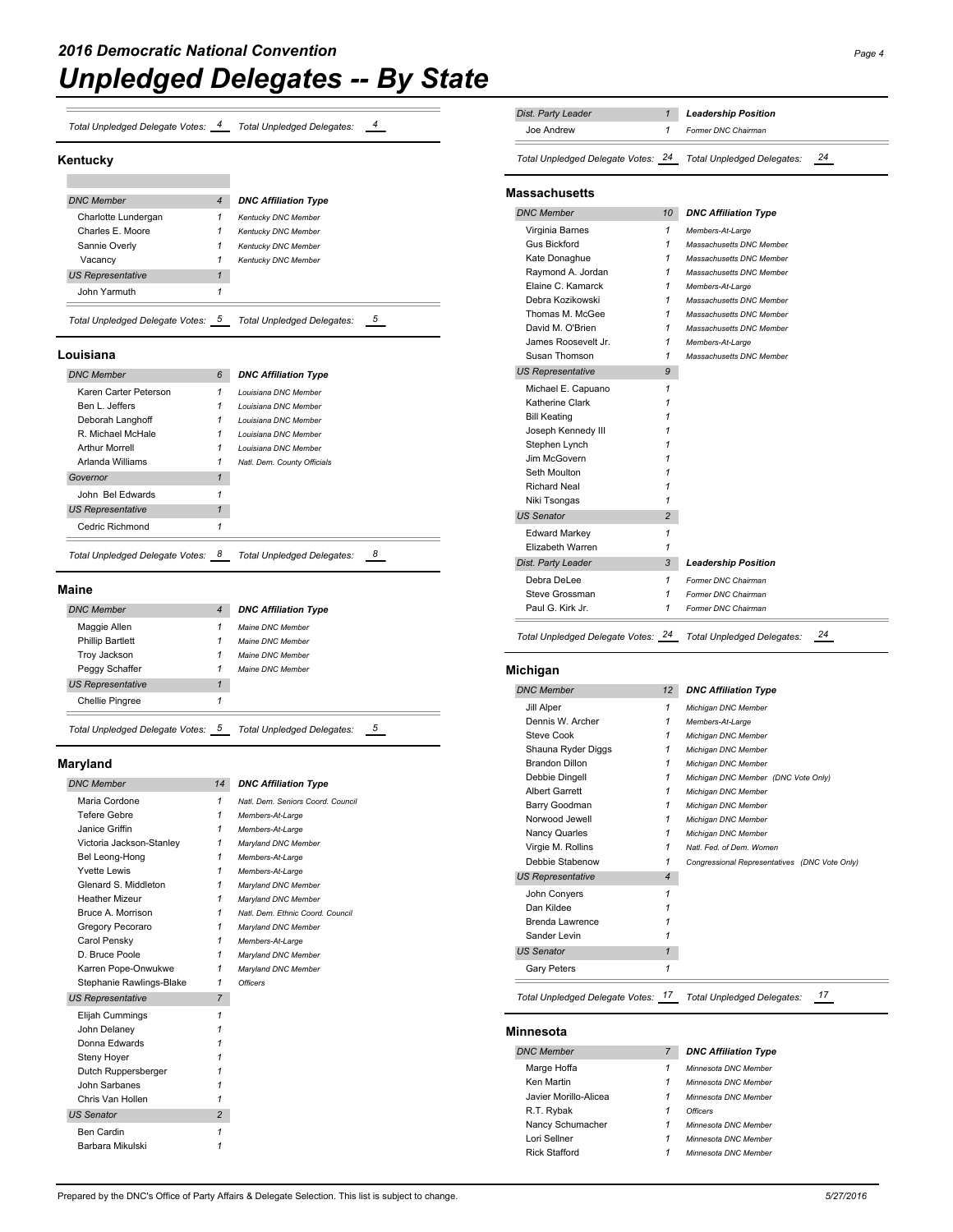| Total Unpledged Delegate Votes: | Total Unpledged Delegates: |  |
|---------------------------------|----------------------------|--|
|                                 |                            |  |

#### **Kentucky**

**COL** 

| <b>DNC Member</b>               | $\overline{4}$ |                             |
|---------------------------------|----------------|-----------------------------|
|                                 |                | <b>DNC Affiliation Type</b> |
| Charlotte Lundergan             | 1              | Kentucky DNC Member         |
| Charles E. Moore                | 1              | <b>Kentucky DNC Member</b>  |
| Sannie Overly                   | 1              | Kentucky DNC Member         |
| Vacancy                         | 1              | <b>Kentucky DNC Member</b>  |
| <b>US Representative</b>        |                |                             |
| John Yarmuth                    |                |                             |
| Total Unpledged Delegate Votes: |                | Total Unpledged Delegates:  |

### **Louisiana**

| <b>DNC Member</b>                 | 6 | <b>DNC Affiliation Type</b>       |
|-----------------------------------|---|-----------------------------------|
| Karen Carter Peterson             | 1 | Louisiana DNC Member              |
| Ren L. leffers                    | 1 | Louisiana DNC Member              |
| Deborah Langhoff                  | 1 | Louisiana DNC Member              |
| R. Michael McHale                 | 1 | Louisiana DNC Member              |
| <b>Arthur Morrell</b>             | 1 | Louisiana DNC Member              |
| Arlanda Williams                  | 1 | Natl. Dem. County Officials       |
| Governor                          | 1 |                                   |
| John Bel Edwards                  | 1 |                                   |
| <b>US Representative</b>          | 1 |                                   |
| Cedric Richmond                   | 1 |                                   |
| Total Unpledged Delegate Votes: 8 |   | <b>Total Unpledged Delegates:</b> |

## **Maine**

| <b>DNC Member</b>               | 4 | <b>DNC Affiliation Type</b>     |  |
|---------------------------------|---|---------------------------------|--|
| Maggie Allen                    |   | Maine DNC Member                |  |
| <b>Phillip Bartlett</b>         |   | Maine DNC Member                |  |
| Troy Jackson                    |   | Maine DNC Member                |  |
| Peggy Schaffer                  |   | Maine DNC Member                |  |
| <b>US Representative</b>        | 1 |                                 |  |
| <b>Chellie Pingree</b>          |   |                                 |  |
| Total Unpledged Delegate Votes: |   | 5<br>Total Unpledged Delegates: |  |

**Maryland**

| <b>DNC Member</b>        | 14             | <b>DNC Affiliation Type</b>       |
|--------------------------|----------------|-----------------------------------|
| Maria Cordone            | 1              | Natl. Dem. Seniors Coord. Council |
| Tefere Gebre             | 1              | Members-At-Large                  |
| Janice Griffin           | 1              | Members-At-Large                  |
| Victoria Jackson-Stanley | 1              | Maryland DNC Member               |
| Bel Leong-Hong           | 1              | Members-At-Large                  |
| Yvette Lewis             | 1              | Members-At-Large                  |
| Glenard S. Middleton     | 1              | Maryland DNC Member               |
| <b>Heather Mizeur</b>    | 1              | Maryland DNC Member               |
| Bruce A. Morrison        | 1              | Natl. Dem. Ethnic Coord. Council  |
| Gregory Pecoraro         | 1              | Maryland DNC Member               |
| Carol Pensky             | 1              | Members-At-Large                  |
| D. Bruce Poole           | 1              | Maryland DNC Member               |
| Karren Pope-Onwukwe      | 1              | Maryland DNC Member               |
| Stephanie Rawlings-Blake | 1              | <b>Officers</b>                   |
| <b>US Representative</b> | $\overline{7}$ |                                   |
| Elijah Cummings          | 1              |                                   |
| John Delanev             | 1              |                                   |
| Donna Edwards            | 1              |                                   |
| Steny Hoyer              | 1              |                                   |
| Dutch Ruppersberger      | 1              |                                   |
| John Sarbanes            | 1              |                                   |
| Chris Van Hollen         | 1              |                                   |
| <b>US Senator</b>        | $\overline{2}$ |                                   |
| Ben Cardin               | 1              |                                   |
| Barbara Mikulski         | 1              |                                   |

| Dist. Party Leader                 | 1              | <b>Leadership Position</b>          |    |
|------------------------------------|----------------|-------------------------------------|----|
| Joe Andrew                         | 1              | Former DNC Chairman                 |    |
| Total Unpledged Delegate Votes: 24 |                | Total Unpledged Delegates:          | 24 |
| <b>Massachusetts</b>               |                |                                     |    |
| <b>DNC Member</b>                  | 10             | <b>DNC Affiliation Type</b>         |    |
| Virginia Barnes                    | 1              | Members-At-Large                    |    |
| <b>Gus Bickford</b>                | 1              | Massachusetts DNC Member            |    |
| Kate Donaghue                      | 1              | Massachusetts DNC Member            |    |
| Raymond A. Jordan                  | 1              | Massachusetts DNC Member            |    |
| Elaine C. Kamarck                  | 1              | Members-At-Large                    |    |
| Debra Kozikowski                   | 1              | Massachusetts DNC Member            |    |
| Thomas M. McGee                    | 1              | Massachusetts DNC Member            |    |
| David M. O'Brien                   | 1              | Massachusetts DNC Member            |    |
| James Roosevelt Jr.                | 1              | Members-At-Large                    |    |
| Susan Thomson                      | 1              | Massachusetts DNC Member            |    |
| <b>US Representative</b>           | 9              |                                     |    |
|                                    |                |                                     |    |
| Michael E. Capuano                 | 1              |                                     |    |
| Katherine Clark                    | 1              |                                     |    |
| <b>Bill Keating</b>                | 1              |                                     |    |
| Joseph Kennedy III                 | 1              |                                     |    |
| Stephen Lynch                      | 1              |                                     |    |
| Jim McGovern                       | 1              |                                     |    |
| Seth Moulton                       | 1              |                                     |    |
| <b>Richard Neal</b>                | 1              |                                     |    |
| Niki Tsongas                       | 1              |                                     |    |
| <b>US Senator</b>                  | $\overline{2}$ |                                     |    |
| <b>Edward Markey</b>               | 1              |                                     |    |
| Elizabeth Warren                   | 1              |                                     |    |
| Dist. Party Leader                 | 3              | <b>Leadership Position</b>          |    |
| Debra DeLee                        | 1              | Former DNC Chairman                 |    |
| Steve Grossman                     | 1              | Former DNC Chairman                 |    |
| Paul G. Kirk Jr.                   | 1              | Former DNC Chairman                 |    |
| Total Unpledged Delegate Votes: 24 |                | Total Unpledged Delegates:          | 24 |
| Michigan                           |                |                                     |    |
| <b>DNC Member</b>                  | 12             | <b>DNC Affiliation Type</b>         |    |
| Jill Alper                         | 1              | Michigan DNC Member                 |    |
| Dennis W. Archer                   | 1              | Members-At-Large                    |    |
| <b>Steve Cook</b>                  | 1              | Michigan DNC Member                 |    |
| Shauna Ryder Diggs                 | 1              | Michigan DNC Member                 |    |
| <b>Brandon Dillon</b>              | 1              | Michigan DNC Member                 |    |
| Debbie Dingell                     | 1              | Michigan DNC Member (DNC Vote Only) |    |
| <b>Albert Garrett</b>              | 1              | Michigan DNC Member                 |    |
| Barry Goodman                      | 1              | Michigan DNC Member                 |    |
| Norwood Jewell                     | 1              | Michigan DNC Member                 |    |
| Nanov Quarles                      | $\overline{1}$ | Michigan DNC Mamba                  |    |

| <b>DNC Member</b>        | 12             | <b>DNC Affiliation Type</b>                   |
|--------------------------|----------------|-----------------------------------------------|
| Jill Alper               | 1              | Michigan DNC Member                           |
| Dennis W. Archer         | 1              | Members-At-Large                              |
| Steve Cook               | 1              | Michigan DNC Member                           |
| Shauna Ryder Diggs       | 1              | Michigan DNC Member                           |
| <b>Brandon Dillon</b>    | 1              | Michigan DNC Member                           |
| Debbie Dingell           | 1              | Michigan DNC Member (DNC Vote Only)           |
| <b>Albert Garrett</b>    | 1              | Michigan DNC Member                           |
| Barry Goodman            | 1              | Michigan DNC Member                           |
| Norwood Jewell           | 1              | Michigan DNC Member                           |
| Nancy Quarles            | 1              | Michigan DNC Member                           |
| Virgie M. Rollins        | 1              | Natl. Fed. of Dem. Women                      |
| Debbie Stabenow          | 1              | Congressional Representatives (DNC Vote Only) |
| <b>US Representative</b> | $\overline{4}$ |                                               |
| John Convers             | 1              |                                               |
| Dan Kildee               |                |                                               |
| Brenda Lawrence          |                |                                               |
| Sander Levin             | 1              |                                               |
| <b>US Senator</b>        | $\mathbf{1}$   |                                               |
| Gary Peters              | 1              |                                               |

## **Minnesota**

| <b>DNC Member</b>     | 7 | <b>DNC Affiliation Type</b> |
|-----------------------|---|-----------------------------|
| Marge Hoffa           | 1 | Minnesota DNC Member        |
| Ken Martin            | 1 | Minnesota DNC Member        |
| Javier Morillo-Alicea | 1 | Minnesota DNC Member        |
| R.T. Rybak            | 1 | <b>Officers</b>             |
| Nancy Schumacher      | 1 | Minnesota DNC Member        |
| Lori Sellner          | 1 | Minnesota DNC Member        |
| <b>Rick Stafford</b>  | 1 | Minnesota DNC Member        |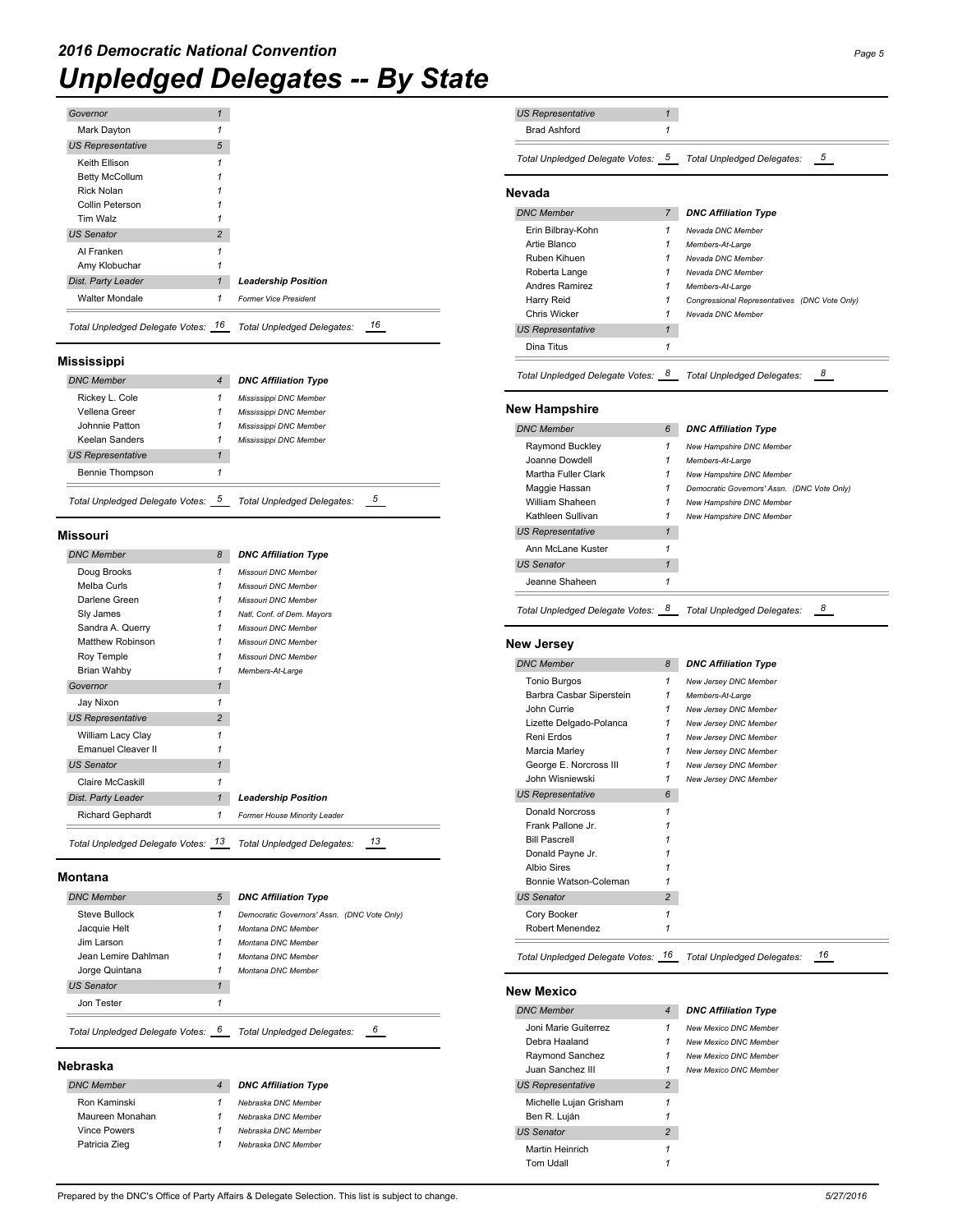| Governor                 | 1              |
|--------------------------|----------------|
| Mark Dayton              |                |
| <b>US Representative</b> | 5              |
| Keith Ellison            |                |
| <b>Betty McCollum</b>    |                |
| Rick Nolan               |                |
| Collin Peterson          |                |
| Tim Walz                 |                |
| <b>US Senator</b>        | $\overline{2}$ |
| Al Franken               |                |
| Amy Klobuchar            |                |
| Dist. Party Leader       |                |
| <b>Walter Mondale</b>    | 1              |

## **Mississippi**

| <b>DNC Member</b>               | 4 | <b>DNC Affiliation Type</b> |
|---------------------------------|---|-----------------------------|
| Rickey L. Cole                  |   | Mississippi DNC Member      |
| Vellena Greer                   |   | Mississippi DNC Member      |
| Johnnie Patton                  | 1 | Mississippi DNC Member      |
| Keelan Sanders                  | 1 | Mississippi DNC Member      |
| <b>US Representative</b>        |   |                             |
| Bennie Thompson                 |   |                             |
| Total Unpledged Delegate Votes: |   | Total Unpledged Delegates:  |

## **Missouri**

| <b>DNC Member</b>         | 8              | <b>DNC Affiliation Type</b>  |
|---------------------------|----------------|------------------------------|
| Doug Brooks               | 1              | Missouri DNC Member          |
| Melba Curls               | 1              | Missouri DNC Member          |
| Darlene Green             | 1              | Missouri DNC Member          |
| Sly James                 | 1              | Natl. Conf. of Dem. Mayors   |
| Sandra A. Querry          | 1              | Missouri DNC Member          |
| <b>Matthew Robinson</b>   | 1              | Missouri DNC Member          |
| Roy Temple                | 1              | Missouri DNC Member          |
| Brian Wahby               | 1              | Members-At-Large             |
| Governor                  | $\mathbf{1}$   |                              |
| Jay Nixon                 | 1              |                              |
| <b>US Representative</b>  | $\overline{2}$ |                              |
| William Lacy Clay         | 1              |                              |
| <b>Emanuel Cleaver II</b> | 1              |                              |
| <b>US Senator</b>         | $\mathbf{1}$   |                              |
| Claire McCaskill          | 1              |                              |
| Dist. Party Leader        | $\mathbf{1}$   | <b>Leadership Position</b>   |
| <b>Richard Gephardt</b>   | 1              | Former House Minority Leader |

#### **Montana**

| <b>DNC Member</b>                 | 5 | <b>DNC Affiliation Type</b>                 |
|-----------------------------------|---|---------------------------------------------|
| Steve Bullock                     | 1 | Democratic Governors' Assn. (DNC Vote Only) |
| Jacquie Helt                      |   | Montana DNC Member                          |
| Jim Larson                        |   | Montana DNC Member                          |
| Jean Lemire Dahlman               | 1 | Montana DNC Member                          |
| Jorge Quintana                    | 1 | Montana DNC Member                          |
| <b>US Senator</b>                 |   |                                             |
| Jon Tester                        |   |                                             |
| Total Unpledged Delegate Votes: 6 |   | <b>Total Unpledged Delegates:</b>           |

## **Nebraska**

| <b>DNC Member</b>   | 4 | <b>DNC Affiliation Type</b> |
|---------------------|---|-----------------------------|
| Ron Kaminski        | 1 | Nebraska DNC Member         |
| Maureen Monahan     | 1 | Nebraska DNC Member         |
| <b>Vince Powers</b> | 1 | Nebraska DNC Member         |
| Patricia Zieg       | 1 | Nebraska DNC Member         |
|                     |   |                             |

| <b>US Representative</b>                           | $\mathbf{1}$   |                                                |
|----------------------------------------------------|----------------|------------------------------------------------|
| <b>Brad Ashford</b>                                | 1              |                                                |
|                                                    |                |                                                |
| Total Unpledged Delegate Votes: 5                  |                | 5<br>Total Unpledged Delegates:                |
| Nevada                                             |                |                                                |
| <b>DNC Member</b>                                  | 7              | <b>DNC Affiliation Type</b>                    |
| Erin Bilbray-Kohn                                  | 1              | Nevada DNC Member                              |
| Artie Blanco                                       | 1              | Members-At-Large                               |
| Ruben Kihuen                                       | 1              | Nevada DNC Member                              |
| Roberta Lange                                      | 1              | Nevada DNC Member                              |
| <b>Andres Ramirez</b>                              | 1              | Members-At-Large                               |
| Harry Reid                                         | 1              | Congressional Representatives (DNC Vote Only)  |
| <b>Chris Wicker</b>                                | 1              | Nevada DNC Member                              |
| <b>US Representative</b>                           | $\mathbf{1}$   |                                                |
| Dina Titus                                         | 1              |                                                |
| Total Unpledged Delegate Votes: 8                  |                | 8<br>Total Unpledged Delegates:                |
| <b>New Hampshire</b>                               |                |                                                |
| <b>DNC Member</b>                                  | 6              | <b>DNC Affiliation Type</b>                    |
| Raymond Buckley                                    | 1              | New Hampshire DNC Member                       |
| Joanne Dowdell                                     | 1              | Members-At-Large                               |
| Martha Fuller Clark                                | 1              | New Hampshire DNC Member                       |
| Maggie Hassan                                      | 1              | Democratic Governors' Assn. (DNC Vote Only)    |
| William Shaheen                                    | 1              | New Hampshire DNC Member                       |
| Kathleen Sullivan                                  | 1              | New Hampshire DNC Member                       |
| <b>US Representative</b>                           | $\mathbf{1}$   |                                                |
| Ann McLane Kuster                                  | 1              |                                                |
| <b>US Senator</b>                                  | 1              |                                                |
| Jeanne Shaheen                                     | 1              |                                                |
| Total Unpledged Delegate Votes: 8                  |                | 8<br>Total Unpledged Delegates:                |
|                                                    |                |                                                |
|                                                    |                |                                                |
| New Jersey                                         |                |                                                |
| <b>DNC Member</b>                                  | 8              | <b>DNC Affiliation Type</b>                    |
| <b>Tonio Burgos</b>                                | $\mathbf{1}$   | New Jersey DNC Member                          |
| Barbra Casbar Siperstein                           | 1              | Members-At-Large                               |
| John Currie                                        | $\mathbf{1}$   | New Jersey DNC Member                          |
| Lizette Delgado-Polanca                            | 1              | New Jersey DNC Member                          |
| Reni Erdos                                         | $\mathbf{1}$   | New Jersey DNC Member                          |
| Marcia Marley                                      | 1<br>1         | New Jersey DNC Member                          |
| George E. Norcross III<br>John Wisniewski          | 1              | New Jersey DNC Member<br>New Jersey DNC Member |
|                                                    | 6              |                                                |
| <b>US Representative</b><br><b>Donald Norcross</b> | 1              |                                                |
| Frank Pallone Jr.                                  | 1              |                                                |
| <b>Bill Pascrell</b>                               | 1              |                                                |
| Donald Payne Jr.                                   | 1              |                                                |
| <b>Albio Sires</b>                                 | 1              |                                                |
| Bonnie Watson-Coleman                              | 1              |                                                |
| <b>US Senator</b>                                  | $\overline{2}$ |                                                |
| Cory Booker                                        | 1              |                                                |
| Robert Menendez                                    | 1              |                                                |
| Total Unpledged Delegate Votes: 16                 |                | 16<br>Total Unpledged Delegates:               |
| New Mexico                                         |                |                                                |
| <b>DNC Member</b>                                  | $\overline{4}$ | <b>DNC Affiliation Type</b>                    |
| Joni Marie Guiterrez                               | 1              | New Mexico DNC Member                          |
| Debra Haaland                                      | 1              | New Mexico DNC Member                          |
| Raymond Sanchez                                    | 1              | New Mexico DNC Member                          |
| Juan Sanchez III                                   | 1              | New Mexico DNC Member                          |
| <b>US Representative</b>                           | $\overline{2}$ |                                                |
| Michelle Lujan Grisham                             | 1              |                                                |
| Ben R. Luján                                       | 1              |                                                |
| <b>US Senator</b>                                  | $\overline{2}$ |                                                |
| Martin Heinrich<br><b>Tom Udall</b>                | 1<br>1         |                                                |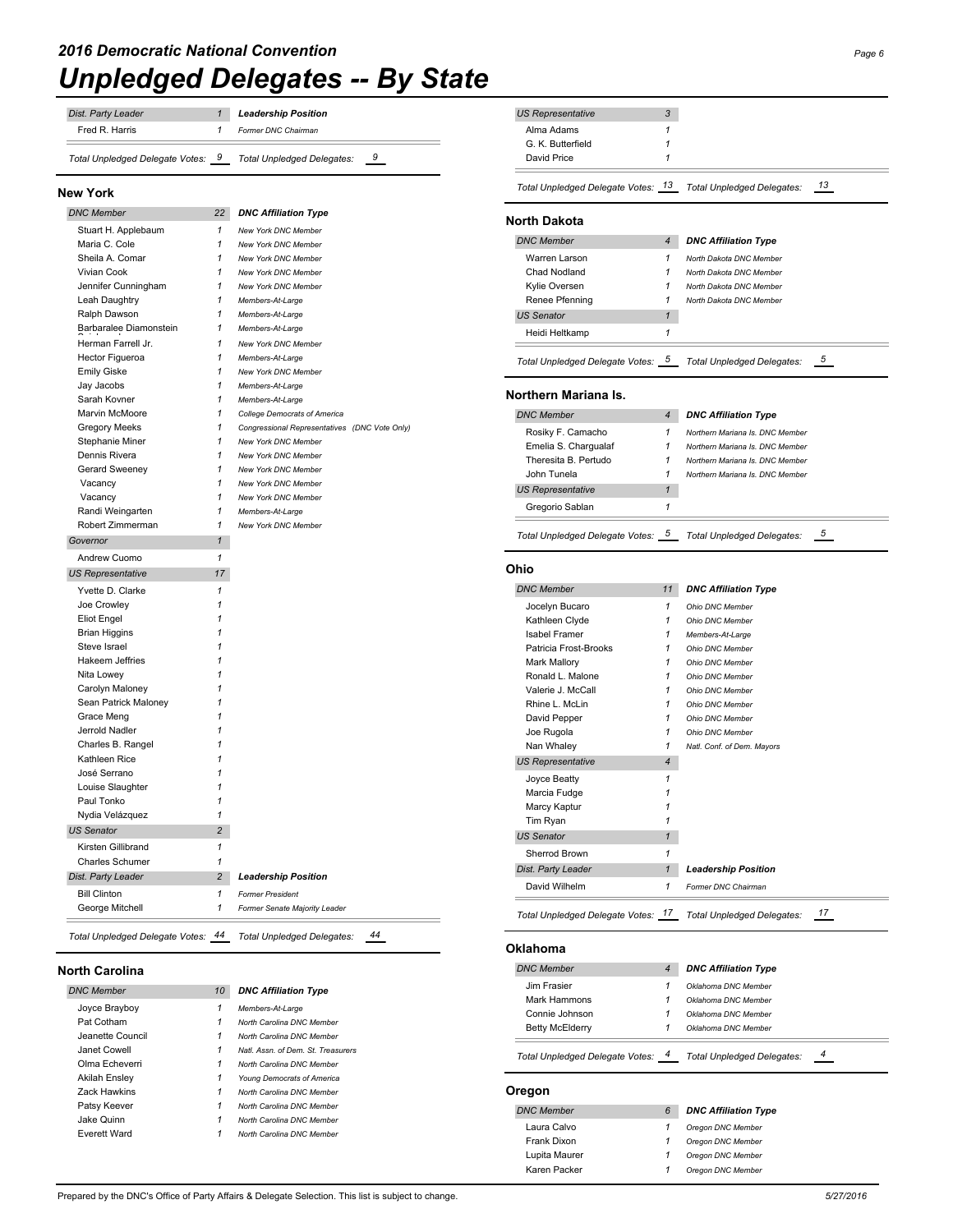| <b>Dist. Party Leader</b>         | <b>Leadership Position</b> |                |
|-----------------------------------|----------------------------|----------------|
| Fred R. Harris                    | Former DNC Chairman        |                |
| Total Unpledged Delegate Votes: 9 | Total Unpledged Delegates: | $\overline{9}$ |

#### **New York**

| <b>DNC Member</b>                          | 22             | <b>DNC Affiliation Type</b>                   |
|--------------------------------------------|----------------|-----------------------------------------------|
| Stuart H. Applebaum                        | 1              | <b>New York DNC Member</b>                    |
| Maria C. Cole                              | 1              | <b>New York DNC Member</b>                    |
| Sheila A. Comar                            | 1              | New York DNC Member                           |
| Vivian Cook                                | $\mathbf{1}$   | New York DNC Member                           |
| Jennifer Cunningham                        | 1              | New York DNC Member                           |
| Leah Daughtry                              | 1              | Members-At-Large                              |
| Ralph Dawson                               | 1              | Members-At-Large                              |
| Barbaralee Diamonstein                     | 1              | Members-At-Large                              |
| Herman Farrell Jr.                         | 1              | New York DNC Member                           |
| <b>Hector Figueroa</b>                     | 1              | Members-At-Large                              |
| <b>Emily Giske</b>                         | 1              | New York DNC Member                           |
| Jay Jacobs                                 | 1              | Members-At-Large                              |
| Sarah Kovner                               | 1              | Members-At-Large                              |
| Marvin McMoore                             | 1              | <b>College Democrats of America</b>           |
| <b>Gregory Meeks</b>                       | 1              | Congressional Representatives (DNC Vote Only) |
| Stephanie Miner                            | 1              | <b>New York DNC Member</b>                    |
| Dennis Rivera                              | 1              | New York DNC Member                           |
| Gerard Sweeney                             | 1              | New York DNC Member                           |
| Vacancy                                    | 1              | <b>New York DNC Member</b>                    |
| Vacancy                                    | 1              | New York DNC Member                           |
| Randi Weingarten                           | 1              | Members-At-Large                              |
| Robert Zimmerman                           | 1              | New York DNC Member                           |
| Governor                                   | $\mathbf{1}$   |                                               |
| Andrew Cuomo                               | $\mathbf{1}$   |                                               |
| <b>US Representative</b>                   | 17             |                                               |
|                                            |                |                                               |
| Yvette D. Clarke                           | 1              |                                               |
| Joe Crowley                                | 1<br>1         |                                               |
| <b>Eliot Engel</b><br><b>Brian Higgins</b> | 1              |                                               |
| Steve Israel                               | 1              |                                               |
| Hakeem Jeffries                            | 1              |                                               |
|                                            | 1              |                                               |
| Nita Lowey                                 | 1              |                                               |
| Carolyn Maloney                            | 1              |                                               |
| Sean Patrick Maloney                       | 1              |                                               |
| Grace Meng                                 |                |                                               |
|                                            |                |                                               |
| Jerrold Nadler                             | 1              |                                               |
| Charles B. Rangel                          | 1              |                                               |
| Kathleen Rice                              | 1              |                                               |
| José Serrano                               | 1              |                                               |
| Louise Slaughter                           | 1              |                                               |
| Paul Tonko                                 | 1              |                                               |
| Nydia Velázquez                            | $\mathbf{1}$   |                                               |
| <b>US Senator</b>                          | $\overline{c}$ |                                               |
| Kirsten Gillibrand                         | 1              |                                               |
| Charles Schumer                            | 1              |                                               |
|                                            | $\overline{2}$ | <b>Leadership Position</b>                    |
| Dist. Party Leader<br><b>Bill Clinton</b>  | $\mathbf{1}$   | <b>Former President</b>                       |

## **North Carolina**

| <b>DNC Member</b>    | 10 | <b>DNC Affiliation Type</b>        |
|----------------------|----|------------------------------------|
| Joyce Brayboy        | 1  | Members-At-Large                   |
| Pat Cotham           | 1  | North Carolina DNC Member          |
| Jeanette Council     | 1  | North Carolina DNC Member          |
| Janet Cowell         | 1  | Natl. Assn. of Dem. St. Treasurers |
| Olma Echeverri       | 1  | North Carolina DNC Member          |
| <b>Akilah Ensley</b> | 1  | Young Democrats of America         |
| <b>Zack Hawkins</b>  | 1  | North Carolina DNC Member          |
| Patsy Keever         | 1  | North Carolina DNC Member          |
| Jake Quinn           | 1  | North Carolina DNC Member          |
| Everett Ward         | 1  | North Carolina DNC Member          |

| 3<br><b>US Representative</b>              |                                            |
|--------------------------------------------|--------------------------------------------|
| 1<br>Alma Adams                            |                                            |
| G. K. Butterfield<br>1                     |                                            |
| David Price<br>1                           |                                            |
| Total Unpledged Delegate Votes: 13         | 13<br>Total Unpledged Delegates:           |
| <b>North Dakota</b>                        |                                            |
| <b>DNC Member</b><br>$\overline{4}$        | <b>DNC Affiliation Type</b>                |
| Warren Larson<br>1                         | North Dakota DNC Member                    |
| Chad Nodland<br>1                          | North Dakota DNC Member                    |
| Kylie Oversen<br>1                         | North Dakota DNC Member                    |
| Renee Pfenning<br>1                        | North Dakota DNC Member                    |
| <b>US Senator</b><br>$\mathbf{1}$          |                                            |
| 1<br>Heidi Heltkamp                        |                                            |
| Total Unpledged Delegate Votes: 5          | 5<br>Total Unpledged Delegates:            |
| Northern Mariana Is.                       |                                            |
| <b>DNC Member</b><br>$\overline{4}$        | <b>DNC Affiliation Type</b>                |
| Rosiky F. Camacho<br>1                     | Northern Mariana Is, DNC Member            |
| Emelia S. Chargualaf<br>1                  | Northern Mariana Is, DNC Member            |
| Theresita B. Pertudo<br>1                  | Northern Mariana Is. DNC Member            |
| John Tunela<br>1                           | Northern Mariana Is, DNC Member            |
| <b>US Representative</b><br>1              |                                            |
| Gregorio Sablan<br>1                       |                                            |
| Total Unpledged Delegate Votes: 5          | 5<br>Total Unpledged Delegates:            |
| Ohio                                       |                                            |
| <b>DNC Member</b><br>11                    | <b>DNC Affiliation Type</b>                |
| 1<br>Jocelyn Bucaro                        | Ohio DNC Member                            |
| 1<br>Kathleen Clyde                        | Ohio DNC Member                            |
| 1<br>Isabel Framer                         | Members-At-Large                           |
| 1<br>Patricia Frost-Brooks<br>1            | Ohio DNC Member                            |
| Mark Mallory<br>1<br>Ronald L. Malone      | Ohio DNC Member<br>Ohio DNC Member         |
| Valerie J. McCall<br>1                     | Ohio DNC Member                            |
| Rhine L. McLin<br>1                        | Ohio DNC Member                            |
| 1<br>David Pepper                          | Ohio DNC Member                            |
| 1<br>Joe Rugola                            | Ohio DNC Member                            |
| 1<br>Nan Whaley                            | Natl. Conf. of Dem. Mayors                 |
| $\overline{4}$<br><b>US Representative</b> |                                            |
| 1<br>Joyce Beatty                          |                                            |
| 1<br>Marcia Fudge<br>1                     |                                            |
| Marcy Kaptur<br>1<br>Tim Ryan              |                                            |
| <b>US Senator</b><br>$\mathbf{1}$          |                                            |
| 1<br>Sherrod Brown                         |                                            |
| Dist. Party Leader<br>$\mathbf{1}$         | <b>Leadership Position</b>                 |
| David Wilhelm<br>1                         | Former DNC Chairman                        |
| Total Unpledged Delegate Votes: 17         | 17<br>Total Unpledged Delegates:           |
| Oklahoma                                   |                                            |
|                                            |                                            |
| <b>DNC Member</b><br>$\overline{4}$        | <b>DNC Affiliation Type</b>                |
| Jim Frasier<br>1<br>Mark Hammons<br>1      | Oklahoma DNC Member<br>Oklahoma DNC Member |
| Connie Johnson<br>1                        | Oklahoma DNC Member                        |
| <b>Betty McElderry</b><br>1                | Oklahoma DNC Member                        |
| 4<br>Total Unpledged Delegate Votes: _     | 4<br>Total Unpledged Delegates:            |
| Oregon                                     |                                            |
| <b>DNC Member</b><br>6                     | <b>DNC Affiliation Type</b>                |
| Laura Calvo<br>1                           | Oregon DNC Member                          |
| Frank Dixon<br>1                           | Oregon DNC Member                          |
| Lupita Maurer<br>1                         | Oregon DNC Member                          |
| Karen Packer<br>1                          | Oregon DNC Member                          |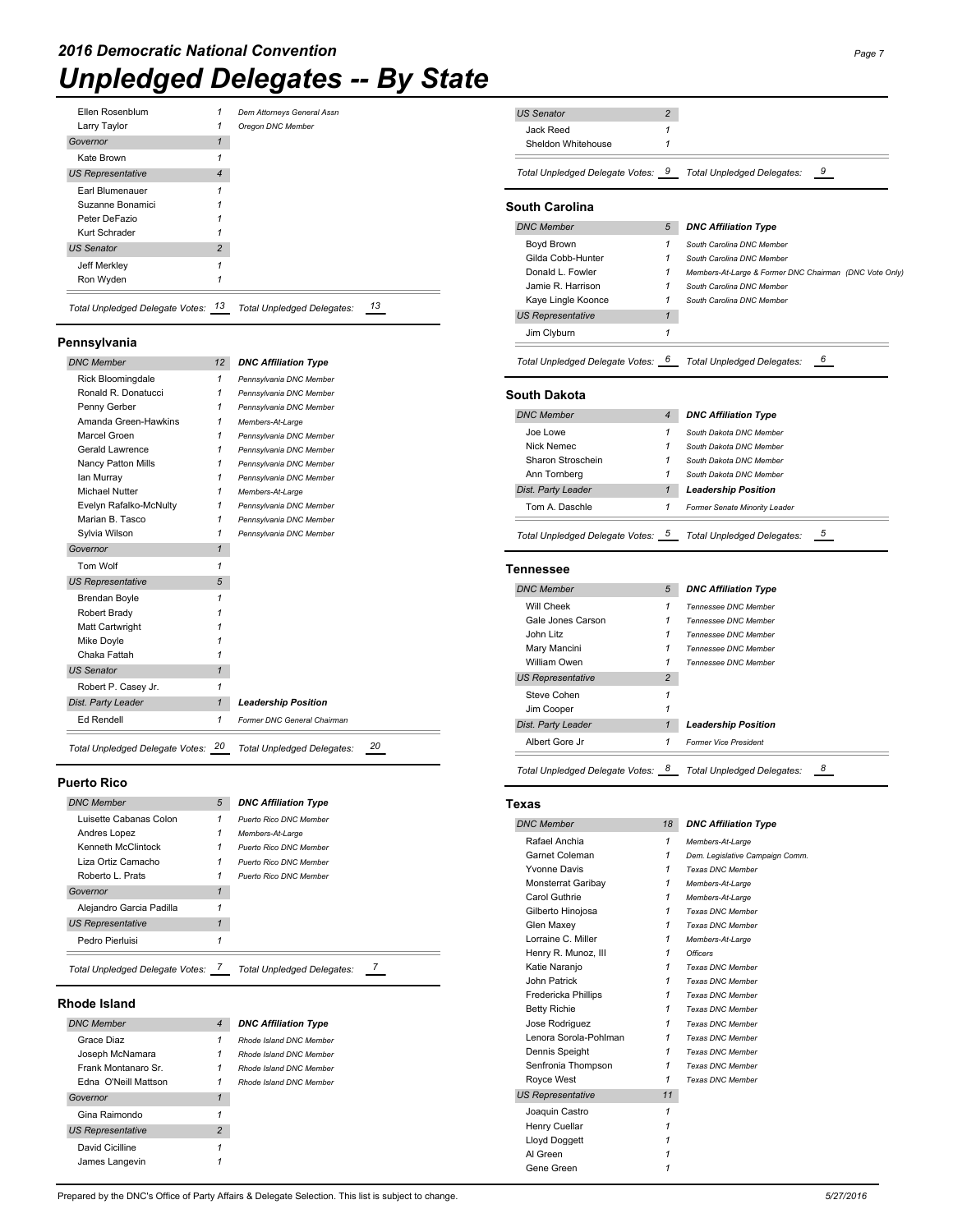| Jeff Merkley<br>Ron Wyden |                |                            |  |
|---------------------------|----------------|----------------------------|--|
| <b>US Senator</b>         | $\overline{2}$ |                            |  |
| Kurt Schrader             |                |                            |  |
| Peter DeFazio             |                |                            |  |
| Suzanne Bonamici          |                |                            |  |
| Earl Blumenauer           |                |                            |  |
| <b>US Representative</b>  | 4              |                            |  |
| Kate Brown                |                |                            |  |
| Governor                  | 1              |                            |  |
| Larry Taylor              | 1              | Oregon DNC Member          |  |
| Ellen Rosenblum           | 1              | Dem Attorneys General Assn |  |

## **Pennsylvania**

| <b>DNC Member</b>         | 12           | <b>DNC Affiliation Type</b> |
|---------------------------|--------------|-----------------------------|
| <b>Rick Bloominadale</b>  | $\mathbf{1}$ | Pennsylvania DNC Member     |
| Ronald R. Donatucci       | 1            | Pennsylvania DNC Member     |
| Penny Gerber              | 1            | Pennsylvania DNC Member     |
| Amanda Green-Hawkins      | 1            | Members-At-Large            |
| Marcel Groen              | 1            | Pennsylvania DNC Member     |
| Gerald Lawrence           | 1            | Pennsylvania DNC Member     |
| <b>Nancy Patton Mills</b> | 1            | Pennsylvania DNC Member     |
| lan Murray                | 1            | Pennsylvania DNC Member     |
| Michael Nutter            | 1            | Members-At-Large            |
| Evelyn Rafalko-McNulty    | 1            | Pennsylvania DNC Member     |
| Marian B. Tasco           | $\mathbf{1}$ | Pennsylvania DNC Member     |
| Sylvia Wilson             | 1            | Pennsylvania DNC Member     |
| Governor                  | $\mathbf{1}$ |                             |
| Tom Wolf                  | $\mathbf{1}$ |                             |
| <b>US Representative</b>  | 5            |                             |
| <b>Brendan Boyle</b>      | 1            |                             |
| Robert Brady              | 1            |                             |
| Matt Cartwright           | 1            |                             |
| Mike Doyle                | 1            |                             |
| Chaka Fattah              | 1            |                             |
| <b>US Senator</b>         | $\mathbf{1}$ |                             |
| Robert P. Casey Jr.       | 1            |                             |
| Dist. Party Leader        | $\mathbf{1}$ | <b>Leadership Position</b>  |
| Ed Rendell                | $\mathbf{1}$ | Former DNC General Chairman |

## **Puerto Rico**

| <b>DNC Member</b>               | 5            | <b>DNC Affiliation Type</b>       |
|---------------------------------|--------------|-----------------------------------|
| Luisette Cabanas Colon          | 1            | <b>Puerto Rico DNC Member</b>     |
| Andres Lopez                    | 1            | Members-At-Large                  |
| Kenneth McClintock              | 1            | <b>Puerto Rico DNC Member</b>     |
| Liza Ortiz Camacho              | 1            | <b>Puerto Rico DNC Member</b>     |
| Roberto L. Prats                | 1            | <b>Puerto Rico DNC Member</b>     |
| Governor                        | 1            |                                   |
| Alejandro Garcia Padilla        | 1            |                                   |
| <b>US Representative</b>        | $\mathbf{1}$ |                                   |
| Pedro Pierluisi                 | 1            |                                   |
| Total Unpledged Delegate Votes: |              | <b>Total Unpledged Delegates:</b> |

## **Rhode Island**

| <b>DNC Member</b>        | $\overline{4}$ | <b>DNC Affiliation Type</b> |
|--------------------------|----------------|-----------------------------|
| Grace Diaz               | 1              | Rhode Island DNC Member     |
| Joseph McNamara          | 1              | Rhode Island DNC Member     |
| Frank Montanaro Sr       | 1              | Rhode Island DNC Member     |
| Edna O'Neill Mattson     | 1              | Rhode Island DNC Member     |
| Governor                 | 1              |                             |
| Gina Raimondo            | 1              |                             |
| <b>US Representative</b> | 2              |                             |
| David Cicilline          | 1              |                             |
| James Langevin           |                |                             |

| <b>US Senator</b>                 | 2              |                                                        |
|-----------------------------------|----------------|--------------------------------------------------------|
| Jack Reed                         | 1              |                                                        |
| Sheldon Whitehouse                | 1              |                                                        |
| Total Unpledged Delegate Votes: 9 |                | 9<br>Total Unpledged Delegates:                        |
| South Carolina                    |                |                                                        |
| <b>DNC Member</b>                 | 5              | <b>DNC Affiliation Type</b>                            |
| Boyd Brown                        | 1              | South Carolina DNC Member                              |
| Gilda Cobb-Hunter                 | 1              | South Carolina DNC Member                              |
| Donald L. Fowler                  | 1              | Members-At-Large & Former DNC Chairman (DNC Vote Only) |
| Jamie R. Harrison                 | 1              | South Carolina DNC Member                              |
| Kaye Lingle Koonce                | 1              | South Carolina DNC Member                              |
| <b>US Representative</b>          | 1              |                                                        |
| Jim Clyburn                       | $\mathbf{1}$   |                                                        |
| Total Unpledged Delegate Votes: 6 |                | 6<br>Total Unpledged Delegates:                        |
| South Dakota                      |                |                                                        |
| <b>DNC Member</b>                 | 4              | <b>DNC Affiliation Type</b>                            |
| Joe Lowe                          | 1              | South Dakota DNC Member                                |
| Nick Nemec                        | 1              | South Dakota DNC Member                                |
| Sharon Stroschein                 | 1              | South Dakota DNC Member                                |
| Ann Tornberg                      | 1              | South Dakota DNC Member                                |
| Dist. Party Leader                | 1              | <b>Leadership Position</b>                             |
| Tom A. Daschle                    | 1              | Former Senate Minority Leader                          |
| Total Unpledged Delegate Votes: 5 |                | 5<br>Total Unpledged Delegates:                        |
| Tennessee                         |                |                                                        |
| <b>DNC Member</b>                 | 5              | <b>DNC Affiliation Type</b>                            |
| Will Cheek                        | 1              |                                                        |
| Gale Jones Carson                 | 1              | Tennessee DNC Member<br>Tennessee DNC Member           |
| John Litz                         | 1              | Tennessee DNC Member                                   |
| Mary Mancini                      | 1              | Tennessee DNC Member                                   |
| <b>William Owen</b>               | 1              | Tennessee DNC Member                                   |
| <b>US Representative</b>          | $\overline{c}$ |                                                        |
| Steve Cohen                       | 1              |                                                        |
| Jim Cooper                        | 1              |                                                        |
| Dist. Party Leader                | $\mathbf{1}$   | <b>Leadership Position</b>                             |
| Albert Gore Jr                    | 1              | <b>Former Vice President</b>                           |
| Total Unpledged Delegate Votes: 8 |                | 8<br>Total Unpledged Delegates:                        |
| Texas                             |                |                                                        |
| <b>DNC Member</b>                 | 18             | <b>DNC Affiliation Type</b>                            |
|                                   | $\mathbf{1}$   |                                                        |
| Rafael Anchia<br>Garnet Coleman   | $\mathbf{1}$   | Members-At-Large<br>Dem. Legislative Campaign Comm.    |
| <b>Yvonne Davis</b>               | $\mathbf{1}$   | Texas DNC Member                                       |
| Monsterrat Garibay                | $\mathbf{1}$   | Members-At-Large                                       |
| Carol Guthrie                     | $\mathbf{1}$   | Members-At-Large                                       |
| Gilberto Hinojosa                 | $\mathbf{1}$   | <b>Texas DNC Member</b>                                |
| Glen Maxey                        | $\mathbf{1}$   | Texas DNC Member                                       |
| Lorraine C. Miller                | $\mathbf{1}$   | Members-At-Large                                       |
| Henry R. Munoz, III               | $\mathbf{1}$   | <b>Officers</b>                                        |
| Katie Naranjo                     | $\mathbf{1}$   | <b>Texas DNC Member</b>                                |
| John Patrick                      | $\mathbf{1}$   | Texas DNC Member                                       |
| Fredericka Phillips               | $\mathbf{1}$   | Texas DNC Member                                       |
| <b>Betty Richie</b>               | $\mathbf{1}$   | Texas DNC Member                                       |
| Jose Rodriguez                    | $\mathbf{1}$   | Texas DNC Member                                       |
| Lenora Sorola-Pohlman             | $\mathbf{1}$   | Texas DNC Member                                       |
| Dennis Speight                    | $\mathbf{1}$   | Texas DNC Member                                       |
| Senfronia Thompson                | $\mathbf{1}$   | Texas DNC Member                                       |
| Royce West                        | 1              | Texas DNC Member                                       |
| <b>US Representative</b>          | 11             |                                                        |
| Joaquin Castro                    | $\mathbf{1}$   |                                                        |
| Henry Cuellar                     | 1              |                                                        |
| Lloyd Doggett                     | 1<br>1         |                                                        |
| Al Green<br>Gene Green            | $\mathbf{1}$   |                                                        |
|                                   |                |                                                        |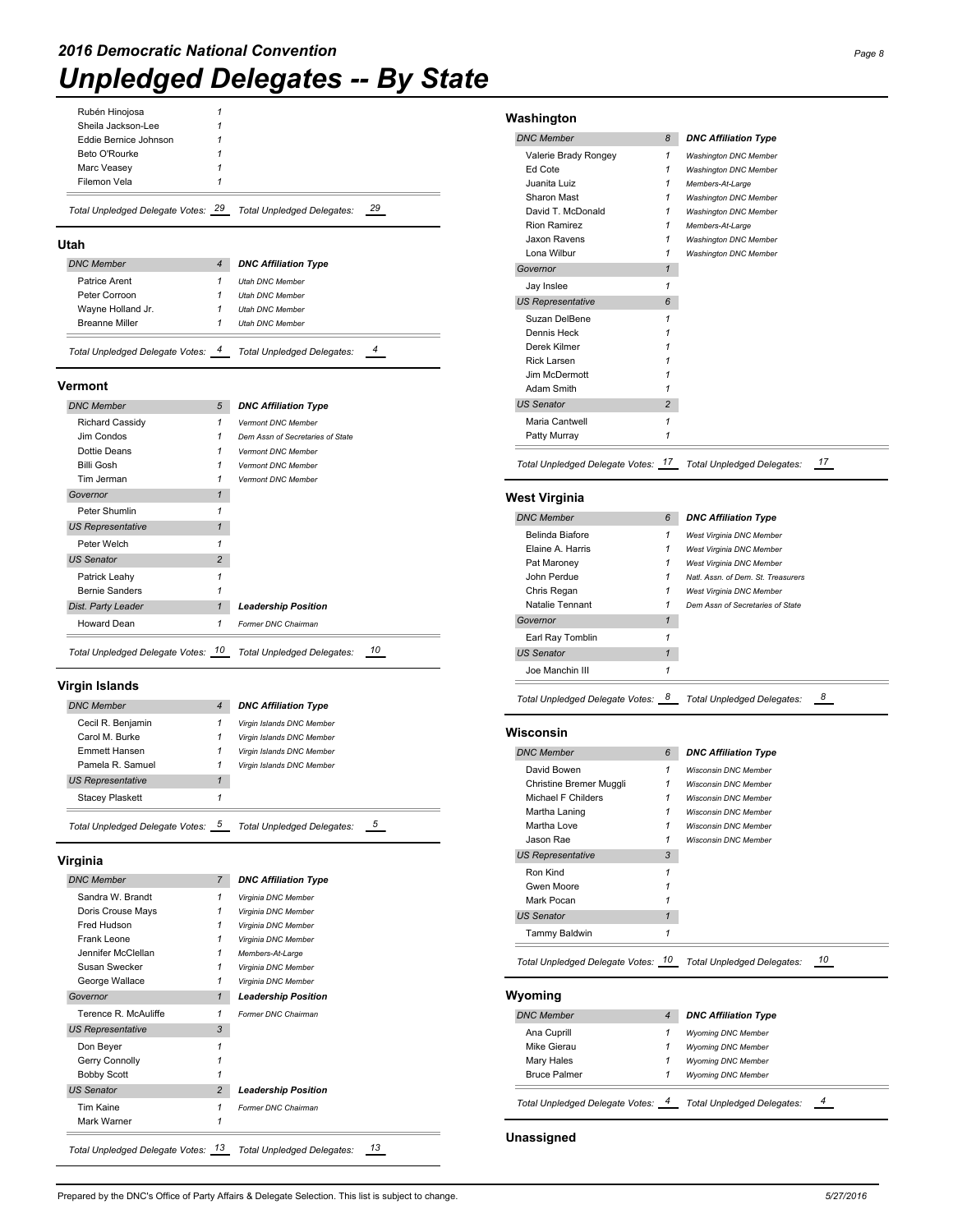## Rubén Hinojosa *1*

| Total Unpledged Delegate Votes: 29 | <b>Total Unpledged Delegates:</b> | - 29 |
|------------------------------------|-----------------------------------|------|
| Filemon Vela                       |                                   |      |
| Marc Veasey                        |                                   |      |
| Beto O'Rourke                      |                                   |      |
| Eddie Bernice Johnson              |                                   |      |
| Sheila Jackson-Lee                 |                                   |      |

## **Utah**

| <b>DNC Member</b>     |  | <b>DNC Affiliation Type</b> |  |  |
|-----------------------|--|-----------------------------|--|--|
| Patrice Arent         |  | <b>Utah DNC Member</b>      |  |  |
| Peter Corroon         |  | <b>Utah DNC Member</b>      |  |  |
| Wayne Holland Jr.     |  | <b>Utah DNC Member</b>      |  |  |
| <b>Breanne Miller</b> |  | <b>Utah DNC Member</b>      |  |  |

#### **Vermont**

| <b>DNC Member</b>        | 5              | <b>DNC Affiliation Type</b>      |
|--------------------------|----------------|----------------------------------|
| <b>Richard Cassidy</b>   | 1              | Vermont DNC Member               |
| Jim Condos               | 1              | Dem Assn of Secretaries of State |
| Dottie Deans             | 1              | <b>Vermont DNC Member</b>        |
| Billi Gosh               | 1              | <b>Vermont DNC Member</b>        |
| Tim Jerman               | 1              | <b>Vermont DNC Member</b>        |
| Governor                 | 1              |                                  |
| Peter Shumlin            | 1              |                                  |
| <b>US Representative</b> | $\mathbf{1}$   |                                  |
| Peter Welch              | 1              |                                  |
| <b>US Senator</b>        | $\overline{2}$ |                                  |
| Patrick Leahy            |                |                                  |
| <b>Bernie Sanders</b>    |                |                                  |
| Dist. Party Leader       | $\mathbf{1}$   | <b>Leadership Position</b>       |
| Howard Dean              | 1              | Former DNC Chairman              |
|                          |                |                                  |

*Total Unpledged Delegate Votes: 10 Total Unpledged Delegates: 10*

## **Virgin Islands**

| <b>DNC Member</b>               | 4 | <b>DNC Affiliation Type</b>     |
|---------------------------------|---|---------------------------------|
| Cecil R. Benjamin               |   | Virgin Islands DNC Member       |
| Carol M. Burke                  | 1 | Virgin Islands DNC Member       |
| Emmett Hansen                   | 1 | Virgin Islands DNC Member       |
| Pamela R. Samuel                |   | Virgin Islands DNC Member       |
| <b>US Representative</b>        |   |                                 |
| Stacey Plaskett                 |   |                                 |
| Total Unpledged Delegate Votes: | 5 | 5<br>Total Unpledged Delegates: |

**Virginia**

| <b>DNC Member</b>        | $\overline{7}$ | <b>DNC Affiliation Type</b> |
|--------------------------|----------------|-----------------------------|
| Sandra W. Brandt         | 1              | Virginia DNC Member         |
| Doris Crouse Mays        | 1              | Virginia DNC Member         |
| Fred Hudson              | 1              | Virginia DNC Member         |
| Frank Leone              | 1              | Virginia DNC Member         |
| Jennifer McClellan       | 1              | Members-At-Large            |
| Susan Swecker            | 1              | Virginia DNC Member         |
| George Wallace           | 1              | Virginia DNC Member         |
| Governor                 | $\mathbf{1}$   | <b>Leadership Position</b>  |
| Terence R. McAuliffe     | 1              | Former DNC Chairman         |
| <b>US Representative</b> | 3              |                             |
| Don Beyer                | 1              |                             |
| Gerry Connolly           |                |                             |
| <b>Bobby Scott</b>       |                |                             |
| <b>US Senator</b>        | $\overline{2}$ | <b>Leadership Position</b>  |
| Tim Kaine                | 1              | Former DNC Chairman         |
|                          |                |                             |

## **Washington** *DNC Member 8 DNC Affiliation Type* Valerie Brady Rongey *1 Washington DNC Member* Ed Cote *1 Washington DNC Member* Juanita Luiz *1 Members-At-Large* Sharon Mast *1 Washington DNC Member* David T. McDonald *1 Washington DNC Member* Rion Ramirez *1 Members-At-Large* Jaxon Ravens *1 Washington DNC Member* Lona Wilbur *1 Washington DNC Member Governor 1* Jay Inslee *1 US Representative 6* Suzan DelBene *1* Dennis Heck *1* Derek Kilmer *1* Rick Larsen *1* Jim McDermott *1* Adam Smith *1 US Senator 2* Maria Cantwell *1* Patty Murray *1 Total Unpledged Delegate Votes: 17 Total Unpledged Delegates: 17* **West Virginia** *DNC Member 6 DNC Affiliation Type* Belinda Biafore *1 West Virginia DNC Member* Elaine A. Harris *1 West Virginia DNC Member* Pat Maroney *1 West Virginia DNC Member* John Perdue *1 Natl. Assn. of Dem. St. Treasurers* Chris Regan *1 West Virginia DNC Member* Natalie Tennant *1 Dem Assn of Secretaries of State Governor 1* Earl Ray Tomblin *1 US Senator 1* Joe Manchin III *1 Total Unpledged Delegate Votes: 8 Total Unpledged Delegates: 8* **Wisconsin** *DNC Member 6 DNC Affiliation Type* David Bowen *1 Wisconsin DNC Member* Christine Bremer Muggli *1 Wisconsin DNC Member* Michael F Childers *1 Wisconsin DNC Member* Martha Laning *1 Wisconsin DNC Member* Martha Love *1 Wisconsin DNC Member* Jason Rae *1 Wisconsin DNC Member US Representative 3* Ron Kind *1* Gwen Moore *1* Mark Pocan *1 US Senator 1* Tammy Baldwin *1 Total Unpledged Delegate Votes: 10 Total Unpledged Delegates: 10* **Wyoming** *DNC Member 4 DNC Affiliation Type* Ana Cuprill *1 Wyoming DNC Member* Mike Gierau *1 Wyoming DNC Member* Mary Hales *1 Wyoming DNC Member* Bruce Palmer *1 Wyoming DNC Member Total Unpledged Delegate Votes: 4 Total Unpledged Delegates: 4*

**Unassigned**